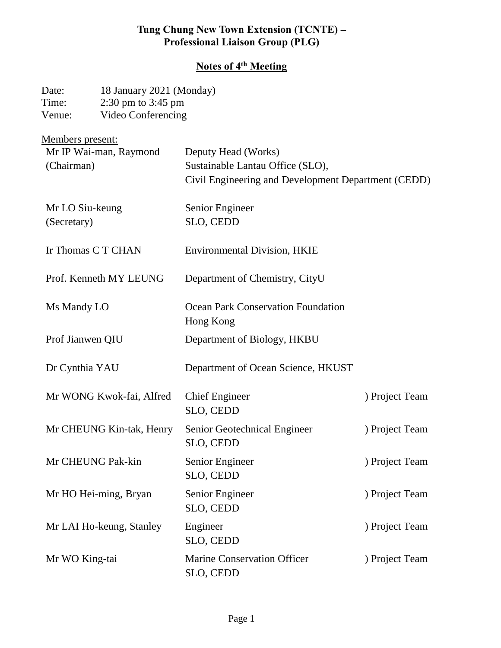# **Tung Chung New Town Extension (TCNTE) – Professional Liaison Group (PLG)**

### **Notes of 4 th Meeting**

| Date:<br>Time:<br>Venue:                                 | 18 January 2021 (Monday)<br>2:30 pm to 3:45 pm<br>Video Conferencing |                                                                                                                |                |  |
|----------------------------------------------------------|----------------------------------------------------------------------|----------------------------------------------------------------------------------------------------------------|----------------|--|
| Members present:<br>Mr IP Wai-man, Raymond<br>(Chairman) |                                                                      | Deputy Head (Works)<br>Sustainable Lantau Office (SLO),<br>Civil Engineering and Development Department (CEDD) |                |  |
| Mr LO Siu-keung<br>(Secretary)                           |                                                                      | Senior Engineer<br>SLO, CEDD                                                                                   |                |  |
| Ir Thomas C T CHAN                                       |                                                                      | <b>Environmental Division, HKIE</b>                                                                            |                |  |
| Prof. Kenneth MY LEUNG                                   |                                                                      | Department of Chemistry, CityU                                                                                 |                |  |
| Ms Mandy LO                                              |                                                                      | <b>Ocean Park Conservation Foundation</b><br>Hong Kong                                                         |                |  |
| Prof Jianwen QIU                                         |                                                                      | Department of Biology, HKBU                                                                                    |                |  |
| Dr Cynthia YAU                                           |                                                                      | Department of Ocean Science, HKUST                                                                             |                |  |
|                                                          | Mr WONG Kwok-fai, Alfred                                             | <b>Chief Engineer</b><br>SLO, CEDD                                                                             | ) Project Team |  |
|                                                          | Mr CHEUNG Kin-tak, Henry                                             | Senior Geotechnical Engineer<br>SLO, CEDD                                                                      | ) Project Team |  |
| Mr CHEUNG Pak-kin                                        |                                                                      | Senior Engineer<br>SLO, CEDD                                                                                   | ) Project Team |  |
|                                                          | Mr HO Hei-ming, Bryan                                                | Senior Engineer<br>SLO, CEDD                                                                                   | ) Project Team |  |
|                                                          | Mr LAI Ho-keung, Stanley                                             | Engineer<br>SLO, CEDD                                                                                          | ) Project Team |  |
| Mr WO King-tai                                           |                                                                      | <b>Marine Conservation Officer</b><br>SLO, CEDD                                                                | ) Project Team |  |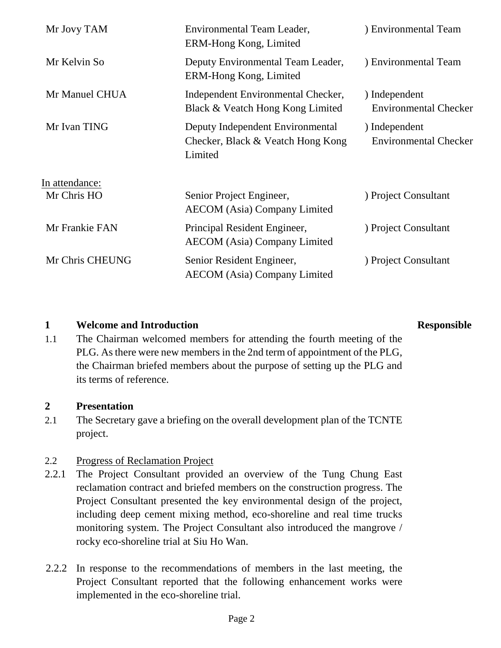| Mr Jovy TAM     | Environmental Team Leader,<br>ERM-Hong Kong, Limited                             | ) Environmental Team                          |
|-----------------|----------------------------------------------------------------------------------|-----------------------------------------------|
| Mr Kelvin So    | Deputy Environmental Team Leader,<br>ERM-Hong Kong, Limited                      | ) Environmental Team                          |
| Mr Manuel CHUA  | Independent Environmental Checker,<br>Black & Veatch Hong Kong Limited           | ) Independent<br><b>Environmental Checker</b> |
| Mr Ivan TING    | Deputy Independent Environmental<br>Checker, Black & Veatch Hong Kong<br>Limited | ) Independent<br><b>Environmental Checker</b> |
| In attendance:  |                                                                                  |                                               |
| Mr Chris HO     | Senior Project Engineer,<br><b>AECOM</b> (Asia) Company Limited                  | ) Project Consultant                          |
| Mr Frankie FAN  | Principal Resident Engineer,<br><b>AECOM</b> (Asia) Company Limited              | ) Project Consultant                          |
| Mr Chris CHEUNG | Senior Resident Engineer,<br><b>AECOM</b> (Asia) Company Limited                 | ) Project Consultant                          |

### **1 Welcome and Introduction Responsible**

1.1 The Chairman welcomed members for attending the fourth meeting of the PLG. As there were new members in the 2nd term of appointment of the PLG, the Chairman briefed members about the purpose of setting up the PLG and its terms of reference.

### **2 Presentation**

2.1 The Secretary gave a briefing on the overall development plan of the TCNTE project.

### 2.2 Progress of Reclamation Project

- 2.2.1 The Project Consultant provided an overview of the Tung Chung East reclamation contract and briefed members on the construction progress. The Project Consultant presented the key environmental design of the project, including deep cement mixing method, eco-shoreline and real time trucks monitoring system. The Project Consultant also introduced the mangrove / rocky eco-shoreline trial at Siu Ho Wan.
- 2.2.2 In response to the recommendations of members in the last meeting, the Project Consultant reported that the following enhancement works were implemented in the eco-shoreline trial.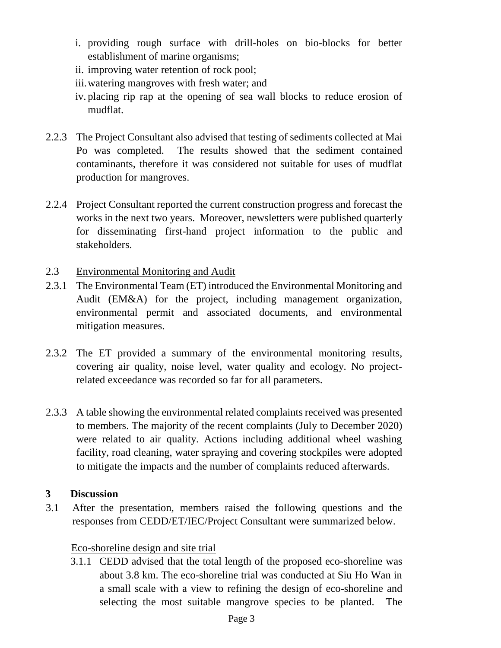- i. providing rough surface with drill-holes on bio-blocks for better establishment of marine organisms;
- ii. improving water retention of rock pool;
- iii.watering mangroves with fresh water; and
- iv. placing rip rap at the opening of sea wall blocks to reduce erosion of mudflat.
- 2.2.3 The Project Consultant also advised that testing of sediments collected at Mai Po was completed. The results showed that the sediment contained contaminants, therefore it was considered not suitable for uses of mudflat production for mangroves.
- 2.2.4 Project Consultant reported the current construction progress and forecast the works in the next two years. Moreover, newsletters were published quarterly for disseminating first-hand project information to the public and stakeholders.
- 2.3 Environmental Monitoring and Audit
- 2.3.1 The Environmental Team (ET) introduced the Environmental Monitoring and Audit (EM&A) for the project, including management organization, environmental permit and associated documents, and environmental mitigation measures.
- 2.3.2 The ET provided a summary of the environmental monitoring results, covering air quality, noise level, water quality and ecology. No projectrelated exceedance was recorded so far for all parameters.
- 2.3.3 A table showing the environmental related complaints received was presented to members. The majority of the recent complaints (July to December 2020) were related to air quality. Actions including additional wheel washing facility, road cleaning, water spraying and covering stockpiles were adopted to mitigate the impacts and the number of complaints reduced afterwards.

# **3 Discussion**

3.1 After the presentation, members raised the following questions and the responses from CEDD/ET/IEC/Project Consultant were summarized below.

# Eco-shoreline design and site trial

3.1.1 CEDD advised that the total length of the proposed eco-shoreline was about 3.8 km. The eco-shoreline trial was conducted at Siu Ho Wan in a small scale with a view to refining the design of eco-shoreline and selecting the most suitable mangrove species to be planted. The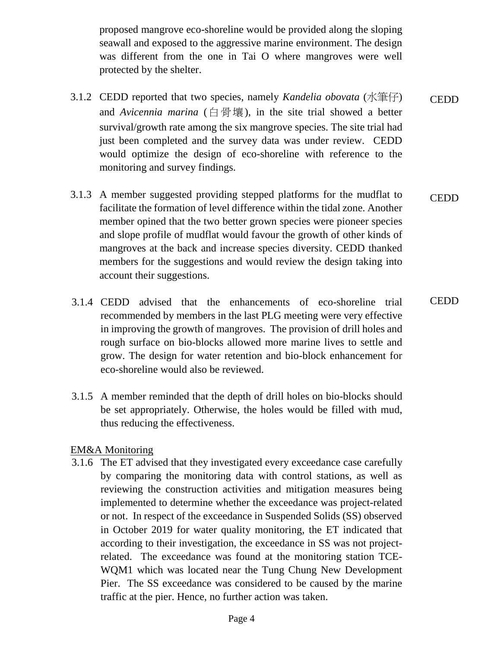proposed mangrove eco-shoreline would be provided along the sloping seawall and exposed to the aggressive marine environment. The design was different from the one in Tai O where mangroves were well protected by the shelter.

- 3.1.2 CEDD reported that two species, namely *Kandelia obovata* (水筆仔) and *Avicennia marina* (白骨壤), in the site trial showed a better survival/growth rate among the six mangrove species. The site trial had just been completed and the survey data was under review. CEDD would optimize the design of eco-shoreline with reference to the monitoring and survey findings. **CEDD**
- 3.1.3 A member suggested providing stepped platforms for the mudflat to facilitate the formation of level difference within the tidal zone. Another member opined that the two better grown species were pioneer species and slope profile of mudflat would favour the growth of other kinds of mangroves at the back and increase species diversity. CEDD thanked members for the suggestions and would review the design taking into account their suggestions. CEDD
- 3.1.4 CEDD advised that the enhancements of eco-shoreline trial recommended by members in the last PLG meeting were very effective in improving the growth of mangroves. The provision of drill holes and rough surface on bio-blocks allowed more marine lives to settle and grow. The design for water retention and bio-block enhancement for eco-shoreline would also be reviewed. CEDD
- 3.1.5 A member reminded that the depth of drill holes on bio-blocks should be set appropriately. Otherwise, the holes would be filled with mud, thus reducing the effectiveness.

# EM&A Monitoring

3.1.6 The ET advised that they investigated every exceedance case carefully by comparing the monitoring data with control stations, as well as reviewing the construction activities and mitigation measures being implemented to determine whether the exceedance was project-related or not. In respect of the exceedance in Suspended Solids (SS) observed in October 2019 for water quality monitoring, the ET indicated that according to their investigation, the exceedance in SS was not projectrelated. The exceedance was found at the monitoring station TCE-WQM1 which was located near the Tung Chung New Development Pier. The SS exceedance was considered to be caused by the marine traffic at the pier. Hence, no further action was taken.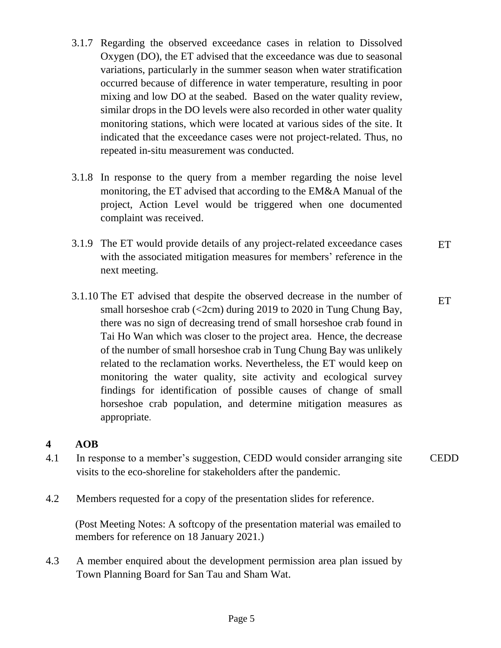- 3.1.7 Regarding the observed exceedance cases in relation to Dissolved Oxygen (DO), the ET advised that the exceedance was due to seasonal variations, particularly in the summer season when water stratification occurred because of difference in water temperature, resulting in poor mixing and low DO at the seabed. Based on the water quality review, similar drops in the DO levels were also recorded in other water quality monitoring stations, which were located at various sides of the site. It indicated that the exceedance cases were not project-related. Thus, no repeated in-situ measurement was conducted.
- 3.1.8 In response to the query from a member regarding the noise level monitoring, the ET advised that according to the EM&A Manual of the project, Action Level would be triggered when one documented complaint was received.
- 3.1.9 The ET would provide details of any project-related exceedance cases with the associated mitigation measures for members' reference in the next meeting. **ET**
- 3.1.10 The ET advised that despite the observed decrease in the number of small horseshoe crab (<2cm) during 2019 to 2020 in Tung Chung Bay, there was no sign of decreasing trend of small horseshoe crab found in Tai Ho Wan which was closer to the project area. Hence, the decrease of the number of small horseshoe crab in Tung Chung Bay was unlikely related to the reclamation works. Nevertheless, the ET would keep on monitoring the water quality, site activity and ecological survey findings for identification of possible causes of change of small horseshoe crab population, and determine mitigation measures as appropriate. ET

# **4 AOB**

- 4.1 In response to a member's suggestion, CEDD would consider arranging site visits to the eco-shoreline for stakeholders after the pandemic. CEDD
- 4.2 Members requested for a copy of the presentation slides for reference.

(Post Meeting Notes: A softcopy of the presentation material was emailed to members for reference on 18 January 2021.)

4.3 A member enquired about the development permission area plan issued by Town Planning Board for San Tau and Sham Wat.